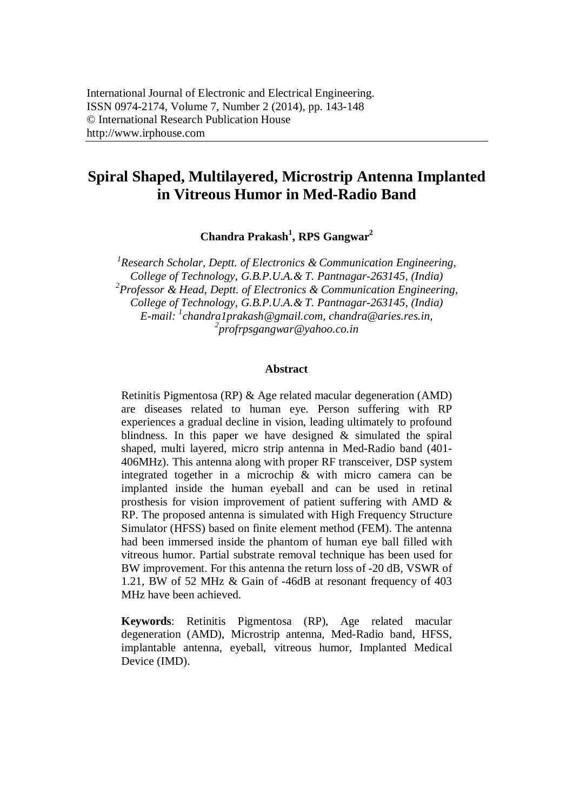# **Spiral Shaped, Multilayered, Microstrip Antenna Implanted in Vitreous Humor in Med-Radio Band**

**Chandra Prakash<sup>1</sup> , RPS Gangwar<sup>2</sup>**

*1 Research Scholar, Deptt. of Electronics & Communication Engineering, College of Technology, G.B.P.U.A.& T. Pantnagar-263145, (India) 2 Professor & Head, Deptt. of Electronics & Communication Engineering, College of Technology, G.B.P.U.A.& T. Pantnagar-263145, (India) E-mail: <sup>1</sup> chandra1prakash@gmail.com, chandra@aries.res.in, 2 profrpsgangwar@yahoo.co.in*

#### **Abstract**

Retinitis Pigmentosa (RP) & Age related macular degeneration (AMD) are diseases related to human eye. Person suffering with RP experiences a gradual decline in vision, leading ultimately to profound blindness. In this paper we have designed & simulated the spiral shaped, multi layered, micro strip antenna in Med-Radio band (401- 406MHz). This antenna along with proper RF transceiver, DSP system integrated together in a microchip & with micro camera can be implanted inside the human eyeball and can be used in retinal prosthesis for vision improvement of patient suffering with AMD & RP. The proposed antenna is simulated with High Frequency Structure Simulator (HFSS) based on finite element method (FEM). The antenna had been immersed inside the phantom of human eye ball filled with vitreous humor. Partial substrate removal technique has been used for BW improvement. For this antenna the return loss of -20 dB, VSWR of 1.21, BW of 52 MHz & Gain of -46dB at resonant frequency of 403 MHz have been achieved.

**Keywords**: Retinitis Pigmentosa (RP), Age related macular degeneration (AMD), Microstrip antenna, Med-Radio band, HFSS, implantable antenna, eyeball, vitreous humor, Implanted Medical Device (IMD).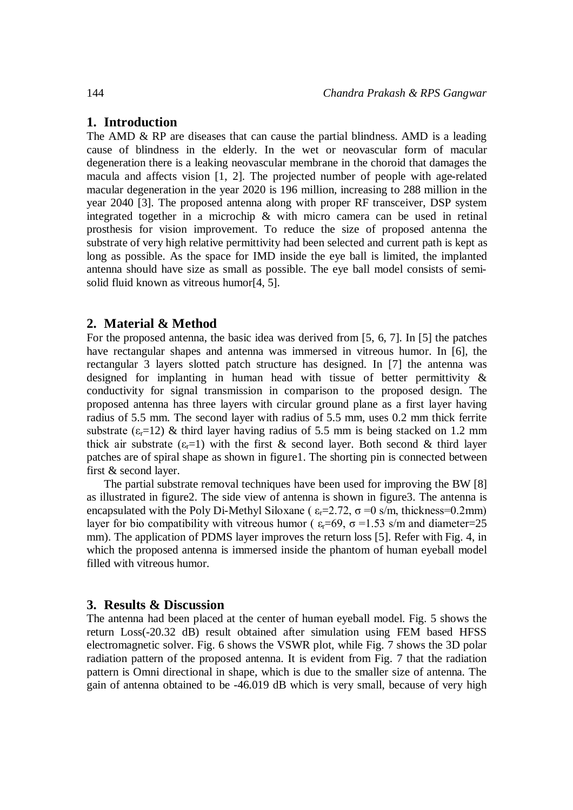## **1. Introduction**

The AMD & RP are diseases that can cause the partial blindness. AMD is a leading cause of blindness in the elderly. In the wet or neovascular form of macular degeneration there is a leaking neovascular membrane in the choroid that damages the macula and affects vision [1, 2]. The projected number of people with age-related macular degeneration in the year 2020 is 196 million, increasing to 288 million in the year 2040 [3]. The proposed antenna along with proper RF transceiver, DSP system integrated together in a microchip & with micro camera can be used in retinal prosthesis for vision improvement. To reduce the size of proposed antenna the substrate of very high relative permittivity had been selected and current path is kept as long as possible. As the space for IMD inside the eye ball is limited, the implanted antenna should have size as small as possible. The eye ball model consists of semisolid fluid known as vitreous humor[4, 5].

#### **2. Material & Method**

For the proposed antenna, the basic idea was derived from [5, 6, 7]. In [5] the patches have rectangular shapes and antenna was immersed in vitreous humor. In [6], the rectangular 3 layers slotted patch structure has designed. In [7] the antenna was designed for implanting in human head with tissue of better permittivity & conductivity for signal transmission in comparison to the proposed design. The proposed antenna has three layers with circular ground plane as a first layer having radius of 5.5 mm. The second layer with radius of 5.5 mm, uses 0.2 mm thick ferrite substrate  $(\epsilon - 12)$  & third layer having radius of 5.5 mm is being stacked on 1.2 mm thick air substrate  $(\epsilon_{r}=1)$  with the first & second layer. Both second & third layer patches are of spiral shape as shown in figure1. The shorting pin is connected between first & second layer.

The partial substrate removal techniques have been used for improving the BW [8] as illustrated in figure2. The side view of antenna is shown in figure3. The antenna is encapsulated with the Poly Di-Methyl Siloxane ( $\varepsilon_r = 2.72$ ,  $\sigma = 0$  s/m, thickness=0.2mm) layer for bio compatibility with vitreous humor ( $\varepsilon=69$ ,  $\sigma=1.53$  s/m and diameter=25 mm). The application of PDMS layer improves the return loss [5]. Refer with Fig. 4, in which the proposed antenna is immersed inside the phantom of human eyeball model filled with vitreous humor.

#### **3. Results & Discussion**

The antenna had been placed at the center of human eyeball model. Fig. 5 shows the return Loss(-20.32 dB) result obtained after simulation using FEM based HFSS electromagnetic solver. Fig. 6 shows the VSWR plot, while Fig. 7 shows the 3D polar radiation pattern of the proposed antenna. It is evident from Fig. 7 that the radiation pattern is Omni directional in shape, which is due to the smaller size of antenna. The gain of antenna obtained to be -46.019 dB which is very small, because of very high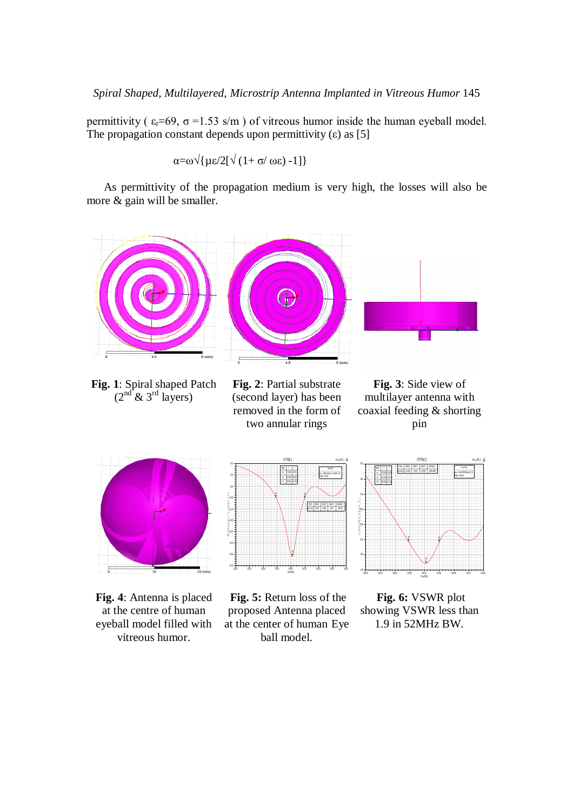### Spiral Shaped, Multilayered, Microstrip Antenna Implanted in Vitreous Humor 145

permittivity ( $\varepsilon_r$ =69,  $\sigma$  =1.53 s/m) of vitreous humor inside the human eyeball model. The propagation constant depends upon permittivity  $(\epsilon)$  as [5]

$$
\alpha = \omega \sqrt{\mu \epsilon / 2} [\sqrt{(1 + \sigma/\omega \epsilon)} - 1] }
$$

As permittivity of the propagation medium is very high, the losses will also be more & gain will be smaller.





**Fig. 4**: Antenna is placed at the centre of human eyeball model filled with vitreous humor.



**Fig. 5:** Return loss of the proposed Antenna placed at the center of human Eye ball model.



**Fig. 6:** VSWR plot showing VSWR less than 1.9 in 52MHz BW.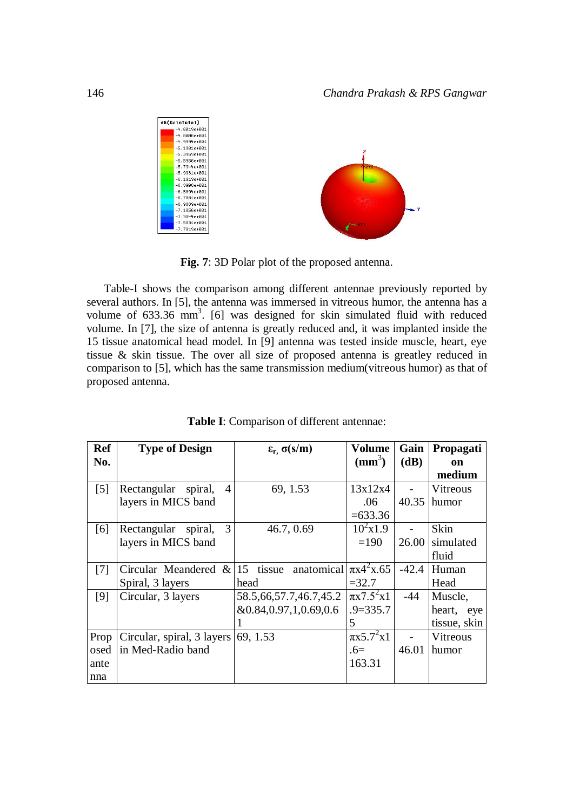

**Fig. 7**: 3D Polar plot of the proposed antenna.

Table-I shows the comparison among different antennae previously reported by several authors. In [5], the antenna was immersed in vitreous humor, the antenna has a volume of  $633.36$  mm<sup>3</sup>. [6] was designed for skin simulated fluid with reduced volume. In [7], the size of antenna is greatly reduced and, it was implanted inside the 15 tissue anatomical head model. In [9] antenna was tested inside muscle, heart, eye tissue & skin tissue. The over all size of proposed antenna is greatley reduced in comparison to [5], which has the same transmission medium(vitreous humor) as that of proposed antenna.

| <b>Ref</b>        | <b>Type of Design</b>                                    | $ε_r$ , σ(s/m)             | Volume            | Gain                     | Propagati    |
|-------------------|----------------------------------------------------------|----------------------------|-------------------|--------------------------|--------------|
| No.               |                                                          |                            | $(mm^3)$          | (dB)                     | on           |
|                   |                                                          |                            |                   |                          | medium       |
| $\lceil 5 \rceil$ | Rectangular<br>$\overline{A}$<br>spiral,                 | 69, 1.53                   | 13x12x4           |                          | Vitreous     |
|                   | layers in MICS band                                      |                            | .06               | 40.35                    | humor        |
|                   |                                                          |                            | $=633.36$         |                          |              |
| [6]               | $\overline{3}$<br>Rectangular spiral,                    | 46.7, 0.69                 | $10^2$ x1.9       |                          | Skin         |
|                   | layers in MICS band                                      |                            | $=190$            | 26.00                    | simulated    |
|                   |                                                          |                            |                   |                          | fluid        |
| [7]               | Circular Meandered & 15 tissue anatomical $\pi x^2 x.65$ |                            |                   | $-42.4$                  | Human        |
|                   | Spiral, 3 layers                                         | head                       | $= 32.7$          |                          | Head         |
| [9]               | Circular, 3 layers                                       | 58.5, 66, 57.7, 46.7, 45.2 | $\pi x 7.5^2 x 1$ | $-44$                    | Muscle,      |
|                   |                                                          | &0.84,0.97,1,0.69,0.6      | $.9 = 335.7$      |                          | heart, eye   |
|                   |                                                          |                            | 5                 |                          | tissue, skin |
| Prop              | Circular, spiral, 3 layers                               | 69, 1.53                   | $\pi x 5.7^2 x 1$ | $\overline{\phantom{0}}$ | Vitreous     |
| osed              | in Med-Radio band                                        |                            | $.6=$             | 46.01                    | humor        |
| ante              |                                                          |                            | 163.31            |                          |              |
| nna               |                                                          |                            |                   |                          |              |

**Table I**: Comparison of different antennae: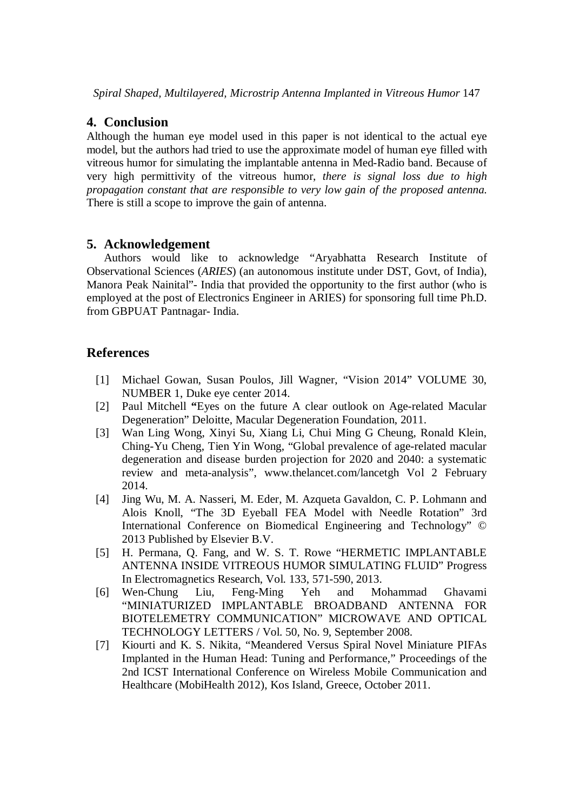# **4. Conclusion**

Although the human eye model used in this paper is not identical to the actual eye model, but the authors had tried to use the approximate model of human eye filled with vitreous humor for simulating the implantable antenna in Med-Radio band. Because of very high permittivity of the vitreous humor, *there is signal loss due to high propagation constant that are responsible to very low gain of the proposed antenna*. There is still a scope to improve the gain of antenna.

## **5. Acknowledgement**

Authors would like to acknowledge "Aryabhatta Research Institute of Observational Sciences (*ARIES*) (an autonomous institute under DST, Govt, of India), Manora Peak Nainital"- India that provided the opportunity to the first author (who is employed at the post of Electronics Engineer in ARIES) for sponsoring full time Ph.D. from GBPUAT Pantnagar- India.

## **References**

- [1] Michael Gowan, Susan Poulos, Jill Wagner, "Vision 2014" VOLUME 30, NUMBER 1, Duke eye center 2014.
- [2] Paul Mitchell **"**Eyes on the future A clear outlook on Age-related Macular Degeneration" Deloitte, Macular Degeneration Foundation, 2011.
- [3] Wan Ling Wong, Xinyi Su, Xiang Li, Chui Ming G Cheung, Ronald Klein, Ching-Yu Cheng, Tien Yin Wong, "Global prevalence of age-related macular degeneration and disease burden projection for 2020 and 2040: a systematic review and meta-analysis", www.thelancet.com/lancetgh Vol 2 February 2014.
- [4] Jing Wu, M. A. Nasseri, M. Eder, M. Azqueta Gavaldon, C. P. Lohmann and Alois Knoll, "The 3D Eyeball FEA Model with Needle Rotation" 3rd International Conference on Biomedical Engineering and Technology" © 2013 Published by Elsevier B.V.
- [5] H. Permana, Q. Fang, and W. S. T. Rowe "HERMETIC IMPLANTABLE ANTENNA INSIDE VITREOUS HUMOR SIMULATING FLUID" Progress In Electromagnetics Research, Vol. 133, 571-590, 2013.
- [6] Wen-Chung Liu, Feng-Ming Yeh and Mohammad Ghavami "MINIATURIZED IMPLANTABLE BROADBAND ANTENNA FOR BIOTELEMETRY COMMUNICATION" MICROWAVE AND OPTICAL TECHNOLOGY LETTERS / Vol. 50, No. 9, September 2008.
- [7] Kiourti and K. S. Nikita, "Meandered Versus Spiral Novel Miniature PIFAs Implanted in the Human Head: Tuning and Performance," Proceedings of the 2nd ICST International Conference on Wireless Mobile Communication and Healthcare (MobiHealth 2012), Kos Island, Greece, October 2011.